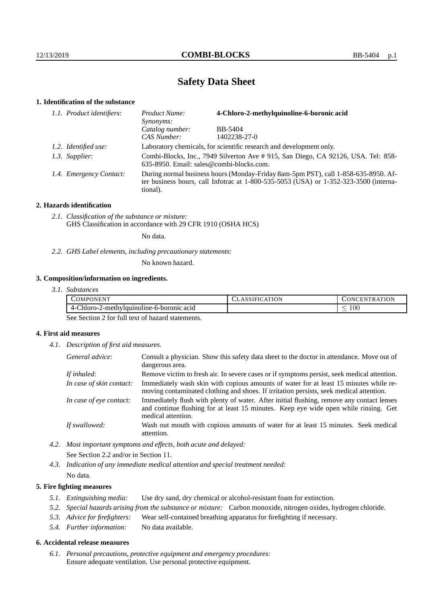# **Safety Data Sheet**

## **1. Identification of the substance**

| 1.1. Product identifiers: | 4-Chloro-2-methylquinoline-6-boronic acid<br>Product Name:<br>Synonyms:                                                                                                                     |              |  |
|---------------------------|---------------------------------------------------------------------------------------------------------------------------------------------------------------------------------------------|--------------|--|
|                           | Catalog number:                                                                                                                                                                             | BB-5404      |  |
|                           | CAS Number:                                                                                                                                                                                 | 1402238-27-0 |  |
| 1.2. Identified use:      | Laboratory chemicals, for scientific research and development only.                                                                                                                         |              |  |
| 1.3. Supplier:            | Combi-Blocks, Inc., 7949 Silverton Ave # 915, San Diego, CA 92126, USA. Tel: 858-<br>635-8950. Email: sales@combi-blocks.com.                                                               |              |  |
| 1.4. Emergency Contact:   | During normal business hours (Monday-Friday 8am-5pm PST), call 1-858-635-8950. Af-<br>ter business hours, call Infotrac at $1-800-535-5053$ (USA) or $1-352-323-3500$ (interna-<br>tional). |              |  |

## **2. Hazards identification**

*2.1. Classification of the substance or mixture:* GHS Classification in accordance with 29 CFR 1910 (OSHA HCS)

No data.

*2.2. GHS Label elements, including precautionary statements:*

No known hazard.

## **3. Composition/information on ingredients.**

| OMP'<br>. )NEN"                                | <b>ATION</b><br>$\Delta$ | 'FR A'FIG<br>- EN<br>IN. |
|------------------------------------------------|--------------------------|--------------------------|
| 2-methylquinoline-6-boronic acid<br>4-Chloro-2 |                          | $100\,$<br>_             |

See Section 2 for full text of hazard statements.

## **4. First aid measures**

*4.1. Description of first aid measures.*

| General advice:          | Consult a physician. Show this safety data sheet to the doctor in attendance. Move out of<br>dangerous area.                                                                                            |
|--------------------------|---------------------------------------------------------------------------------------------------------------------------------------------------------------------------------------------------------|
| If inhaled:              | Remove victim to fresh air. In severe cases or if symptoms persist, seek medical attention.                                                                                                             |
| In case of skin contact: | Immediately wash skin with copious amounts of water for at least 15 minutes while re-<br>moving contaminated clothing and shoes. If irritation persists, seek medical attention.                        |
| In case of eye contact:  | Immediately flush with plenty of water. After initial flushing, remove any contact lenses<br>and continue flushing for at least 15 minutes. Keep eye wide open while rinsing. Get<br>medical attention. |
| If swallowed:            | Wash out mouth with copious amounts of water for at least 15 minutes. Seek medical<br>attention.                                                                                                        |

*4.2. Most important symptoms and effects, both acute and delayed:* See Section 2.2 and/or in Section 11.

*4.3. Indication of any immediate medical attention and special treatment needed:* No data.

### **5. Fire fighting measures**

- *5.1. Extinguishing media:* Use dry sand, dry chemical or alcohol-resistant foam for extinction.
- *5.2. Special hazards arising from the substance or mixture:* Carbon monoxide, nitrogen oxides, hydrogen chloride.
- *5.3. Advice for firefighters:* Wear self-contained breathing apparatus for firefighting if necessary.
- *5.4. Further information:* No data available.

#### **6. Accidental release measures**

*6.1. Personal precautions, protective equipment and emergency procedures:* Ensure adequate ventilation. Use personal protective equipment.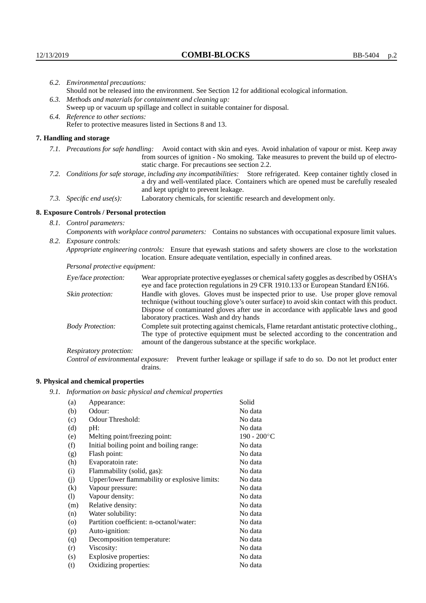|  | 6.2. Environmental precautions:                                                                                                                                                        |                                                                                                                                                                                                                                                                    |  |  |  |
|--|----------------------------------------------------------------------------------------------------------------------------------------------------------------------------------------|--------------------------------------------------------------------------------------------------------------------------------------------------------------------------------------------------------------------------------------------------------------------|--|--|--|
|  | Should not be released into the environment. See Section 12 for additional ecological information.                                                                                     |                                                                                                                                                                                                                                                                    |  |  |  |
|  |                                                                                                                                                                                        | 6.3. Methods and materials for containment and cleaning up:                                                                                                                                                                                                        |  |  |  |
|  | Sweep up or vacuum up spillage and collect in suitable container for disposal.                                                                                                         |                                                                                                                                                                                                                                                                    |  |  |  |
|  | 6.4. Reference to other sections:                                                                                                                                                      |                                                                                                                                                                                                                                                                    |  |  |  |
|  |                                                                                                                                                                                        | Refer to protective measures listed in Sections 8 and 13.                                                                                                                                                                                                          |  |  |  |
|  | 7. Handling and storage                                                                                                                                                                |                                                                                                                                                                                                                                                                    |  |  |  |
|  |                                                                                                                                                                                        | 7.1. Precautions for safe handling: Avoid contact with skin and eyes. Avoid inhalation of vapour or mist. Keep away<br>from sources of ignition - No smoking. Take measures to prevent the build up of electro-<br>static charge. For precautions see section 2.2. |  |  |  |
|  |                                                                                                                                                                                        | 7.2. Conditions for safe storage, including any incompatibilities: Store refrigerated. Keep container tightly closed in<br>a dry and well-ventilated place. Containers which are opened must be carefully resealed<br>and kept upright to prevent leakage.         |  |  |  |
|  | 7.3. Specific end use(s):                                                                                                                                                              | Laboratory chemicals, for scientific research and development only.                                                                                                                                                                                                |  |  |  |
|  | 8. Exposure Controls / Personal protection                                                                                                                                             |                                                                                                                                                                                                                                                                    |  |  |  |
|  | 8.1. Control parameters:                                                                                                                                                               |                                                                                                                                                                                                                                                                    |  |  |  |
|  |                                                                                                                                                                                        | Components with workplace control parameters: Contains no substances with occupational exposure limit values.                                                                                                                                                      |  |  |  |
|  | 8.2. Exposure controls:                                                                                                                                                                |                                                                                                                                                                                                                                                                    |  |  |  |
|  | Appropriate engineering controls: Ensure that eyewash stations and safety showers are close to the workstation<br>location. Ensure adequate ventilation, especially in confined areas. |                                                                                                                                                                                                                                                                    |  |  |  |
|  | Personal protective equipment:                                                                                                                                                         |                                                                                                                                                                                                                                                                    |  |  |  |
|  | Eye/face protection:                                                                                                                                                                   | Wear appropriate protective eyeglasses or chemical safety goggles as described by OSHA's<br>eye and face protection regulations in 29 CFR 1910.133 or European Standard EN166.                                                                                     |  |  |  |
|  | Skin protection:                                                                                                                                                                       | Handle with gloves. Gloves must be inspected prior to use. Use proper glove removal<br>technique (without touching glove's outer surface) to avoid skin contact with this product.                                                                                 |  |  |  |

| Eye/face protection:               | Wear appropriate protective eyeglasses or chemical safety goggles as described by OSHA's<br>eye and face protection regulations in 29 CFR 1910.133 or European Standard EN166.                                                                                                                                         |
|------------------------------------|------------------------------------------------------------------------------------------------------------------------------------------------------------------------------------------------------------------------------------------------------------------------------------------------------------------------|
| Skin protection:                   | Handle with gloves. Gloves must be inspected prior to use. Use proper glove removal<br>technique (without touching glove's outer surface) to avoid skin contact with this product.<br>Dispose of contaminated gloves after use in accordance with applicable laws and good<br>laboratory practices. Wash and dry hands |
| <b>Body Protection:</b>            | Complete suit protecting against chemicals, Flame retardant antistatic protective clothing.,<br>The type of protective equipment must be selected according to the concentration and<br>amount of the dangerous substance at the specific workplace.                                                                   |
| Respiratory protection:            |                                                                                                                                                                                                                                                                                                                        |
| Control of environmental exposure: | Prevent further leakage or spillage if safe to do so. Do not let product enter<br>drains.                                                                                                                                                                                                                              |

## **9. Physical and chemical properties**

*9.1. Information on basic physical and chemical properties*

| (a)      | Appearance:                                   | Solid          |
|----------|-----------------------------------------------|----------------|
| (b)      | Odour:                                        | No data        |
| (c)      | Odour Threshold:                              | No data        |
| (d)      | $pH$ :                                        | No data        |
| (e)      | Melting point/freezing point:                 | $190 - 200$ °C |
| (f)      | Initial boiling point and boiling range:      | No data        |
| (g)      | Flash point:                                  | No data        |
| (h)      | Evaporatoin rate:                             | No data        |
| (i)      | Flammability (solid, gas):                    | No data        |
| (j)      | Upper/lower flammability or explosive limits: | No data        |
| $\rm(k)$ | Vapour pressure:                              | No data        |
| (1)      | Vapour density:                               | No data        |
| (m)      | Relative density:                             | No data        |
| (n)      | Water solubility:                             | No data        |
| $\circ$  | Partition coefficient: n-octanol/water:       | No data        |
| (p)      | Auto-ignition:                                | No data        |
| (q)      | Decomposition temperature:                    | No data        |
| (r)      | Viscosity:                                    | No data        |
| (s)      | Explosive properties:                         | No data        |
| (t)      | Oxidizing properties:                         | No data        |
|          |                                               |                |